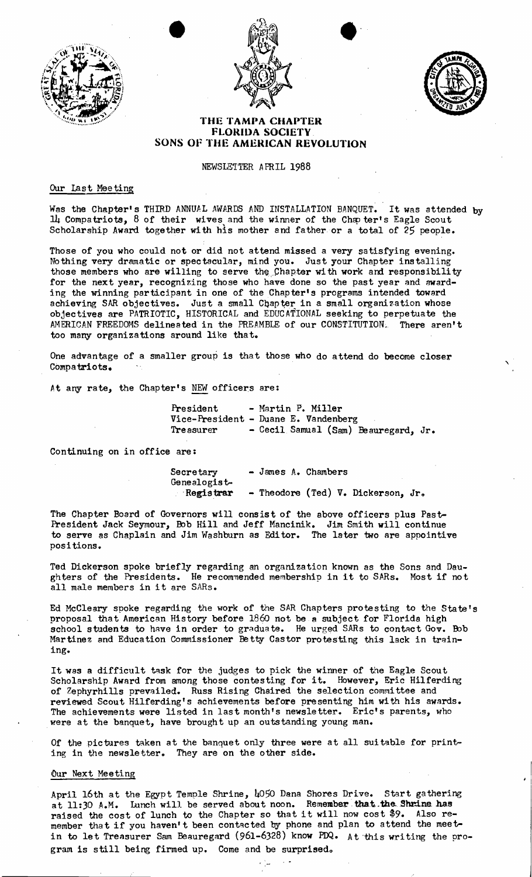





# **THE TAMPA CHAPTER FLORIDA SOCIETY. SONS OF THE AMERICAN REVOLUTION**

#### NEWSLETTER APRIL 1988

### Our Last Meeting

Was the Chapter's THIRD ANNUAL AWARDS AND INSTALLATION BANQUET. It was attended by  $1\mu$  Compatriots, 8 of their wives and the winner of the Chapter's Eagle Scout Scholarship Award together with his mother and father or a total of 25 people.

Those of you who could not or did not attend missed a very satisfying evening. Nothing very dramatic or spectacular, mind you. Just your Chapter installing those members who are willing to serve the Chapter with work and responsibility for the next year, recognizing those who have done so the past year and awarding the winning participant in one of the Chapter's programs intended toward achieving SAR objectives. Just a small Chapter in a small organization whose objectives are PATRIOTIC, HISTORICAL and EDUCATIONAL seeking to perpetuate the  $AMENT$  FREEDOMS delineated in the PREAMBLE of our CONSTITUTION. There aren't too many organizations around like that.

One advantage of a smaller group is that those who do attend do become closer Compatriots.

At any rate, the Chapter's NEW officers are:

President - Martin P. Miller Vice-President - Duane E. Vandenberg<br>Treasurer - Cecil Samual (Sam) - Cecil Samual (Sam) Beauregard, Jr.

Continuing on in office are:

Secretary - James A. Chambers Genealogist-Registrar - Theodore (Ted)  $\nabla$ . Dickerson, Jr.

The Chapter Board of Governors will consist of the above officers plus Past-President Jack Seymour, Bob Hill and Jeff Mancinik. Jim Smith will continue to serve as Chaplain and Jim Washburn as Edi tor. The later two are appointive positions.

Ted Dickerson spoke briefly regarding an organization known as the Sons and Daughters of the Presidents. He recommended membership in it to SARs. Most if not all male members in it are *SARa.* 

Ed McCleary spoke regarding the work of the SAR Chapters protesting to the State's proposal that American History before 1860 not be a subject for Florida high school students to have in order to graduate. He urged SARs to contact Gov. Bob Martinez and Education Commissioner Betty Castor protesting this lack in training.

It was a difficult task for the judges to pick the winner of the Eagle Scout Scholarship Award from among those contesting for it. However, Eric Hilferding of Zephyrhills prevailed. Russ Rising Chaired the selection committee and reviewed Scout Hilferding's achievements before presenting him with his awards. The achievements were listed in last month's newsletter. Eric's parents, who .were at the banquet, have brought up an outstanding young man.

Of the pictures taken at the banquet only three were at all sui table for printing in the newsletter. They are on the other side.

## Our Next Meeting

April 16th at the Egypt Temple Shrine, 4050 Dana Shores Drive. Start gathering at 11:30 A.M. Lunch will be served about noon. Remember that the Shrine has raised the cost of lunch to the Chapter so that it will now cost \$9. Also reraised the cost of funch to the chapter so that it will how cost  $\psi$ . Also form member that if you haven't been contacted by phone and plan to attend the meetin to let Treasurer Sam Beauregard (961-6328) know PDQ. At-this wri ting the program is still being firmed up. Come and be surprised.